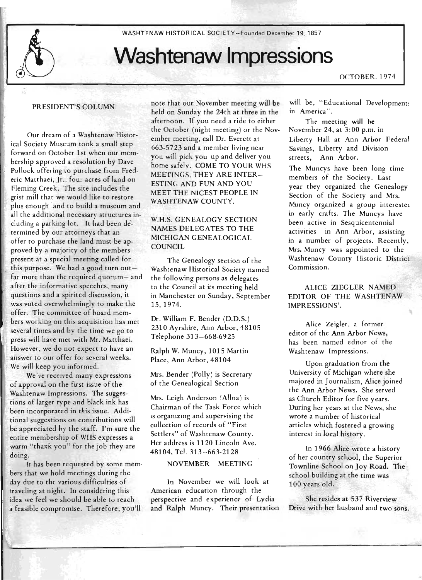

WASHTENAW HISTORICAL SOCIETY- Founded December 19,1857

# **Washtenaw Impressions**

OCTOBER. 1974

#### PRESIDENT'S COLUMN

Our dream of a Washtenaw Historical Society Museum took a small step forward on October 1st when our membership approved a resolution by Dave Pollock offering to purchase from Frederic Matthaei, Jr., four acres of land on Fleming Creek. The site includes the grist mill that we would like to restore plus enough land to build a museum and all the additional necessary structures including a parking lot. It had been determined by our attorneys that an offer to purchase the land must be approved by a majority of the members present at a special meeting called for this purpose. We had a good turn outfar more than the required quorum- and after the informative speeches, many questions and a spirited discussion, it was voted overwhelmingly to make the offer. The committee of board members working on this acquisition has met several times and by the time we go to press will have met with Mr. Matthaei. However, we do not expect to have an answer to our offer for several weeks. We will keep you informed.

We 've received many expressions of approval on the first issue of the Washtenaw Impressions. The suggestions of larger ty pe and black ink has been incorporated in this issue. Additional suggestions on contributions will be appreciated by the staff. I'm sure the entire membership of WHS expresses a warm "thank you" for the job they are doing.

It has been requested by some members that we hold meetings during the day due to the various difficulties of traveling at night. In considering this idea we feel we should be able to reach a feasible compromise. Therefore, you'll

note that our November meeting will be held on Sunday the 24th at three in the afternoon. If you need a ride to either the October (night meeting) or the November meeting, call Dr. Everett at 663-5723 and a member living near you will pick you up and deliver you home safelv. COME TO YOUR WHS MEETINGS. THEY ARE INTER-ESTING AND FUN AND YOU MEET THE NICEST PEOPLE IN WASHTENAW COUNTY.

# W.H.S. GENEALOGY SECTION NAMES DELEGATES TO THE MICHIGAN GENEALOGICAL **COUNCIL**

The Genealogy section of the Washtenaw Historical Society named the following persons as delegates to the Council at its meeting held in Manchester on Sunday, September 15,1974.

Dr. William F. Bender (D.D.S.) 2310 Ayrshire, Ann Arbor, 48105 Telephone 313- 668-6925

Ralph W. Muncy, 1015 Martin Place, Ann Arbor, 48104

Mrs. Bender (Polly) is Secretary of the Genealogical Section

Mrs. Leigh Anderson (Alloa) is Chairman of the Task Force which is organizing and supervising the collection of records of "First Settlers" of Washtenaw County. Her address is 1120 Lincoln Ave. 48104, Tel. 313-663-2128

#### NOVEMBER MEETING

In November we will look at American education through the perspective and experience of Lydia and Ralph Muncy. Their presentation will be, "Educational Development: in America",

The meetine; **will** he November 24, at 3:00 p.m. in Liberty Hall at Ann Arbor Federal Savings, Liberty and Division streets, Ann Arbor.

The Muncys have been long time members of the Society. Last year they organized the Genealogy Section of the Society and Mrs. Muncy organized a group interested in early crafts. The Muncys have been active in Sesquicentennial activities in Ann Arbor, assisting in a number of projects. Recently, Mrs. Muncy was appointed to the Washtenaw County Historic District Commission.

ALICE ZIEGLER NAMED EDITOR OF THE WASHTENAW IMPRESSIONS'.

Alice Zeigler, a former editor of the Ann Arbor News, has been named editor of the Washtenaw Impressions.

Upon graduation from the University of Michigan where she majored in Journalism, Alice joined the Ann Arbor News. She served as Church Editor for five years. During her years at the News, she wrote a number of historical articles which fostered a growing interest in local history.

In 1966 Alice wrote a history of her country school, the Superior TOwrIline School on Joy Road. The school building at the time was 100 years old.

She resides at 537 Riverview Drive with her husband and two sons.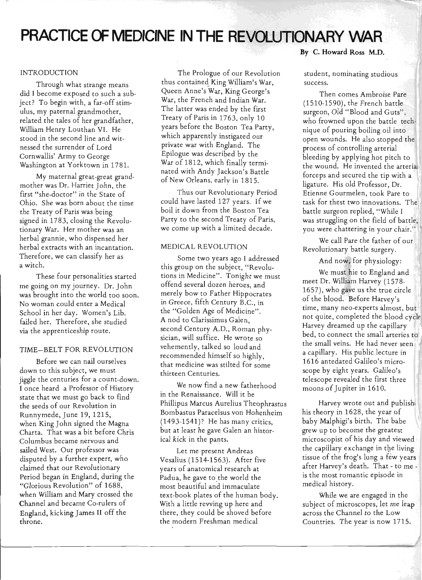# **PRACTICE OF MEDICINE IN THE REVOLUTIONARY WAR**

#### INTRODUCTION

Through what strange means did I become exposed to such a subject? To begin with, a far-off stimulus, my paternal grandmother, related the tales of her grandfather, William Henry Louthan VI. He stood in the second line and witnessed the surrender of Lord Cornwallis' Army to George Washington at Yorktown in 1781.

My maternal great-great grandmother was Dr. Harriet John, the first "she-doctor" in the State of Ohio. She was born about the time the Treaty of Paris was being signed in 1783, closing the Revolutionary War. Her mother was an herbal grannie, who dispensed her herbal extracts with an incantation. Therefore, we can classify her as a witch.

These four personalities started me going on my journey. Dr. John was brought into the world too soon. No woman could enter a Medical School in her day. Women's Lib. failed her. Therefore, she studied via the apprenticeship route.

#### TIME- BELT FOR REVOLUTION

Before we can nail ourselves down to this subject, we must jiggle the centuries for a count-down. I once heard a Professor of History state that we must go back to find the seeds of our Revolution in Runnymede, June 19, 1215, when King John signed the Magna Charta. That was a bit before Chris Columbus became nervous and sailed West. Our professor was disputed by a further expert, who claimed that our Revolutionary Period began in England, during the "Glorious Revolution" of 1688, when William and Mary crossed the Channel and became Co-rulers of England, kicking James II off the throne.

The Prologue of our Revolution thus contained King William's War, Queen Anne's War, King George's War, the French and Indian War. The latter was ended by the first Treaty of Paris in 1763, only 10 years before the Boston Tea Party, which apparently instigated our private war with England. The Epilogue was described by the War of 1812, which finally terminated with Andy Jackson's Battle of New Orleans, early in 1815.

Thus our Revolutionary Period could have lasted 127 years. If we boil it down from the Boston Tea Party to the second Treaty of Paris, we come up with a limited decade.

#### MEDICAL REVOLUTION

Some two years ago I addressed this group on the subject, "Revolutions in Medicine". Tonight we must offend several dozen heroes, and merely bow to Father Hippocrates in Greece, fifth Century B.C., in the "Golden Age of Medicine". A nod to Clarissimus Galen, second Century A.D., Roman physician, will suffice. He wrote so vehemently, talked so loud and recommended himself so highly, that medicine was stilted for some thirteen Centuries.

We now find a new fatherhood in the Renaissance. Will it be Phillipus Marcus Aurelius Theophrastus Bombastus Paracelsus von Hohenheim (1493-1541)? He has many critics, but at least he gave Galen an historical kick in the pants.

Let me present Andreas Vesalius (1514-1563). After five years of anatomical research at Padua, he gave to the world the most beautiful and immaculate text-book plates of the human body. With a little revving up here and there, they could be shoved before the modern Freshman medical

### **By C. Howard Ross M.D.**

student, nominating studious success.

Then comes Ambroise Pare (1510-1590), the French battle surgeon, Old "Blood and Guts", who frowned upon the battle technique of pouring boiling oil into open wounds. He also stopped the process of controlling arterial bleeding by applying hot pitch to the wound. He invented the arterial forceps and secured the tip with a ligature. His old Professor, Dr. Etienne Gourmelen, took Pare to task for thest two innovations. The battle surgeon replied, "While I was struggling on the field of battle, you were chattering in your chair. "

We call Pare the father of our Revolutionary battle surgery.

# And now, for physiology:

We must hie to England and meet Dr. William Harvey (1578-1657), who gave us the true circle of the blood. Before Harvey's time, many neo-experts almost, but not quite, completed the blood cycle Harvey dreamed up the capillary bed, to connect the small arteries to the small veins. He had never seen a capillary. His public lecture in 1616 antedated Galileo's microscope by eight years. Galileo's telescope revealed the first three moons of Jupiter in 1610.

Harvey wrote out and publish his theory in 1628, the year of baby Malphigi's birth. The babe grew up to become the greatest microscopist of his day and viewed the capillary exchange in the living tissue of the frog's lung a few years after Harvey's death. That - to me is the most romantic episode in medical history.

While we are engaged in the subject of microscopes, let me leap across the Channel to the Low Countries. The year is now 1715.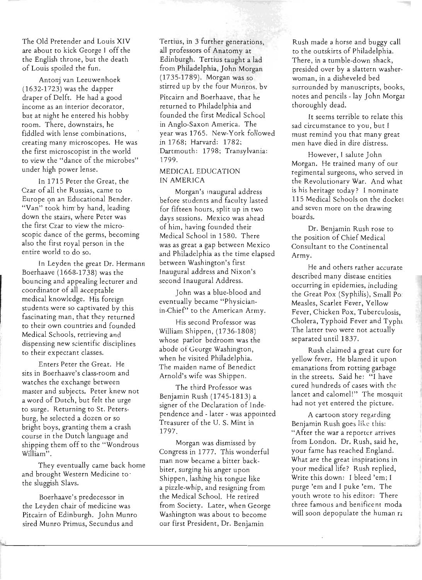The Old Pretender and Louis XIV are about to kick George I off the the English throne, but the death of Louis spoiled the fun.

Antonj van Leeuwenhoek (1632-1723) was the dapper draper of Delft. He had a good income as an interior decorator, but at night he entered his hobby room. There, downstairs, he fiddled with lense combinations, creating many microscopes. He was . the first microscopist in the world to view the "dance of the microbes" under high power lense.

In 1715 Peter the Great, the Czar of all the Russias, came to Europe on an Educational Bender. "Van" took him by hand, leading down the stairs, where Peter was the first Czar to view the microscopic dance of the germs, becoming also the first royal person in the entire world to do so.

In Leyden the great Dr. Hermann Boerhaave (1668-1738) was the bouncing and appealing lecturer and coordinator of all acceptable medical knowledge. His foreign students were so captivated by this fascinating man, that they returned to their own countries and founded Medical Schools, retrieving and dispensing new scientific disciplines to their expectant classes.

Enters Peter the Great. He sits in Boerhaave's class-room and watches the exchange between master and subjects. Peter knew not a word of Dutch, but felt the urge to surge. Returning to St. Petersburg, he selected a dozen or so bright boys, granting them a crash course in the Dutch language and shipping them off to the "Wondrous  $W$ illiam".

They eventually came back home and brought Western Medicine to ' the sluggish Slavs.

Boerhaave's predecessor in the Leyden chair of medicine was Pitcairn of Edinburgh. John Munro sired Munro Primus, Secundus and

Tertius, in 3 further generations, all professors of Anatomy at Edinburgh. Tertius taught a lad from Philadelphia, John Morgan (1735-1789). Morgan was so stirred up by the four Munros. bv

Pitcairn and Boerhaave, that he returned to Philadelphia and founded the first Medical School in Anglo-Saxon America. The year was 1765. New-York followed in 1768; Harvard: 1782; Dartmouth: 1798; Transylvania: 1799.

# MEDICAL EDUCATION IN AMERICA

Morgan's inaugural address before students and faculty lasted for fifteen hours, split up in two days sessions. Mexico was ahead of him, having founded their Medical School in 1580. There was as great a gap between Mexico and Philadelphia as the time elapsed between Washington's first Inaugural address and Nixon's second Inaugural Address.

John was a blue-blood and eventually became "Physicianin-Chief" to the American Army.

His second Professor was William Shippen, (1736-1808) whose parlor bedroom was the abode of George Washington, when he visited Philadelphia. The maiden name of Benedict Arnold's wife was Shippen.

The third Professor was Benjamin Rush (1745-1813) a signer of the Declaration of Independence and - later - was appointed Treasurer of the U. S. Mint in 1797.

Morgan was dismissed by Congress in 1777. This wonderful man now became a bitter backbiter, surging his anger upon Shippen, lashing his tongue like a pizzle-whip, and resigning from the Medical School. He retired from Society. Later, when George Washington was about to become our first President, Dr. Benjamin

Rush made a horse and buggy call to the outskirts of Philadelphia. There, in a tumble-down shack, presided over by a slattern washerwoman, in a disheveled bed surrounded by manuscripts, books, notes and pencils - lay John Morgar thoroughly dead.

It seems terrible to relate this sad circumstance to you, but I must remind you that many great men have died in dire distress.

However, I salute John Morgan. He trained many of our regimental surgeons, who served in the Revolutionarv War. And what is his heritage today? I nominate 115 Medical Schools on the docket and seven more on the drawing boards.

Dr. Benjamin Rush rose to the position of Chief Medical Consultant to the Continental Army.

He and others rather accurate described many disease entities occurring in epidemies, including the Great Pox (Syphilis), Small Po Measles, Scarlet Fever, Yellow Fever, Chicken Pox, Tuberculosis, Cholera, Typhoid Fever and Typhi The latter two were not actually separated until 1837.

Rush claimed a great cure for yellow fever. He blamed it upon emanations from rotting garbage in the streets. Said he: "I have cured hundreds of cases with the lancet and calomel!" The mosquit had not yet entered the picture.

A cartoon story regarding Benjamin Rush goes like this: "After the war a reporter arrives from London. Dr. Rush, said he, your fame has reached England. What are the great inspirations in your medical life? Rush replied, Write this down: I bleed 'em; I purge 'em and I puke 'em. The youth wrote to his editor: There three famous and benificent moda will soon depopulate the human ra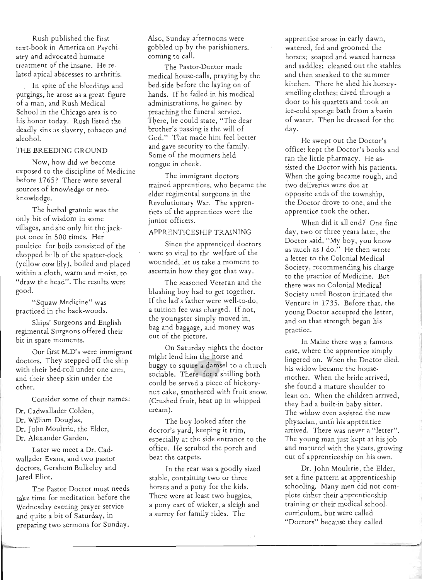Rush published the first text-book in America on Psychiatry and advocated humane treatment of the insane. He related apical abscesses to arthritis.

In spite of the bleedings and purgings, he arose as a great figure of a man, and Rush Medical School in the Chicago area is to his honor today. Rush listed the deadly sins as slavery, tobacco and alcohol.

# THE BREEDING GROUND

Now, how did we become exposed to the discipline of Medicine before 1765? There were several sources of knowledge or neoknowledge.

The herbal grannie was the only bit of wisdom in some villages, and she only hit the jackpot once in 500 times. Her poultice for boils consisted of the chopped bulb of the spatter-dock (yellow cow lily), boiled and placed within a cloth. warm and moist, to "draw the head". The results were good.

"Squaw Medicine" was practiced in the back-woods.

Ships' Surgeons and English regimental Surgeons offered their bit in spare moments.

Our first M.D's were immigrant doctors. They stepped off the ship with their bed-roll under one arm. and their sheep-skin under the other.

Consider some of their names:

- Dr. Cadwallader Colden,
- Dr. William Douglas,
- Dr. John Moultrie, the Elder,
- Dr. Alexander Garden.

Later we meet a Dr. Cadwallader Evans. and two pastor doctors, Gershom Bulkeley and Jared Eliot.

The Pastor Doctor must needs take time for meditation before the Wednesday evening prayer service and quite a bit of Saturday, in preparing two sermons for Sunday.

Also, Sunday afternoons were gobbled up by the parishioners, coming to call.

The Pastor-Doctor made medical house-calls, praying by the bed-side before the laying on of hands. If he failed in his medical administrations, he gained by preaching the funeral service. There, he could state, "The dear brother's passing is the will of God." That made him feel better and gave security to the family. Some of the mourners held tongue in cheek.

The immigrant doctors trained apprentices, who became the elder regimental surgeons in the Revolutionary War. The apprentices of the apprentices were the junior officers.

# APPRENTICESHIP TRAINING

Since the apprenticed doctors were so vital to the welfare of the wounded, let us take a moment to ascertain how they got that way.

The seasoned Veteran and the blushing boy had to get together. If the lad's father were well-to-do, a tuition fee was charged. If not, the youngster simply moved in, bag and baggage, and money was out of the picture.

On Saturday nights the doctor might lend him the horse and buggy to squire a damsel to a church sociable. There for a shilling both could be served a piece of hickorynut cake, smothered with fruit snow. (Crushed fruit, beat up in whipped cream).

The boy looked after the doctor's yard, keeping it trim, especially at the side entrance to the office. He scrubed the porch and beat the carpets.

In the rear was a goodly sized stable, containing two or three horses and a pony for the kids. There were at least two buggies, a pony cart of wicker, a sleigh and a surrey for family rides. The

--------------------------------------------------------------------------j

apprentice arose in early dawn, watered, fed and groomed the horses; soaped and waxed harness and saddles; cleaned out the stables and then sneaked to the summer kitchen. There he shed his horseysmelling clothes; dived through a door to his quarters and took an ice-cold sponge bath from a basin of water. Then he dressed for the day .

He swept out the Doctor's office : kept the Doctor's books and ran the little pharmacy. He assisted the Doctor with his patients. When the going became rough, and two deliveries were due at opposite ends of the township, the Doctor drove to one, and the apprentice took the other.

When did it all end? One fine day, two or three years later, the Doctor said, "My boy, you know as much as I do." He then wrote a letter to the Colonial Medical Society, recommending his charge to the practice of Medicine. But there was no Colonial Medical Society until Boston initiated the Venture in 1735. Before that. the young Doctor accepted the letter, and on that strength began his practice.

In Maine there was a famous case, where the apprentice simply lingered on. When the Doctor died, his widow became the housemother. When the bride arrived. she found a mature shoulder to lean on. When the children arrived, they had a built-in baby sitter. The widow even assisted the new physician, until his apprentice arrived. There was never a "letter". The young man just kept at his job and matured with the years, growing out of apprenticeship on his own.

Dr. John Moultrie, the Elder, set a fine pattern at apprenticeship schooling. Many men did not complete either their apprenticeship training or their medical school curriculum, but were called "Doctors" because they called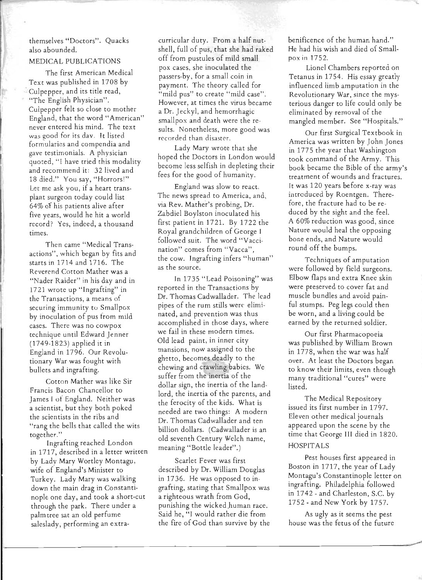themselves "Doctors". Quacks also abounded.

#### MEDICAL PUBLICATIONS

The first American Medical Text was published in 1708 by . Culpepper, and its title read, "The English Physician". Culpepper felt so close to mother England, that the word "American" never entered his mind. The text was good for its day. It listed formularies and compendia and gave testimonials. A physician quoted, "I have tried this modality and recommend it: 32 lived and 18 died." You say, "Horrors!" Let me ask you, if a heart transplant surgeon today could list 64% of his patients alive after five years, would he hit a world record? Yes, indeed, a thousand times.

Then came "Medical Transactions", which began by fits and starts in 1714 and 1716. The Reverend Cotton Mather was a "Nader Raider" in his day and in 1721 wrote up "Ingrafting" in the Transactions, a means of securing immunity to Smallpox by inoculation of pus from mild cases. There was no cowpox technique until Edward Jenner (1749-1823) applied it in England in 1796. Our Revolutionary War was fought with bullets and ingrafting.

Cotton Mather was like Sir Francis Bacon Chancellor to James I of England. Neither was a scientist, but they both poked the scientists in the ribs and "rang the bells that called the wits together."

Ingrafting reached London in 1717, described in a letter written by Lady Mary Wortley Montagu, wife of England's Minister to Turkey. Lady Mary was walking down the main drag in Constantinople one day, and took a short-cut through the park. There under a palm tree sat an old perfume saleslady, performing an extracurricular duty. From a half nutshell, full of pus, that she had raked off from pustules of mild small pox cases, she inoculated the passers-by, for a small coin in payment. The theory called for "mild pus" to create "mild case". However, at times the virus became a Dr. Jeckyl, and hemorrhagic smallpox and death were the results. Nonetheless, more good was rccorded than disastcr.

Lady Mary wrote that she hoped the Doctors in London would become less selfish in depleting their fees for the good of humanity.

England was slow to react. The news spread to America, and, via Rev. Mather's probing, Dr. Zabdiel Boylston inoculated his first patient in 1721. By 1722 the Royal grandc hildren of George I followed suit. The word "Vaccination" comes from "Vacca", the cow. Ingrafting infers "human" as the source.

In 1735 "Lead Poisoning" was reported in the Transactions by Dr. Thomas Cadwallader. The lead pipes of the rum stills were eliminated, and prevention was thus accomplished in those days, where we fail in these modern times. Old lead paint, in inner city mansions, now assigned to the ghetto, becomes deadly to the chewing and crawling babies. We suffer from the inertia of the dollar sign, the inertia of the landlord, the inertia of the parents, and the ferocity of the kids. What is needed are two things: A modern Dr. Thomas Cadwallader and ten billion dollars. (Cadwallader is an old seventh Century Welch name, meaning "Bottle leader".)

Scarlet Fever was first described by Dr. William Douglas in 1736. He was opposed to ingrafting, stating that Smallpox was a righteous wrath from God, punishing the wicked human race. Said he, "I would rather die from the fire of God than survive by the

~--------~------------------------~--------------------------~--------------------~---

benificence of the human hand." He had his wish and died of Smallpoxin 1752.

Lionel Chambers reported on Tetanus in 1754. His essay greatly influenced limb amputation in the Revolutionary War, since the mysterious danger to life could only be eliminated by removal of the mangled member. See "Hospitals."

Our first Surgical Textbook in America was written by John Jones in 1775 the year that Washington took command of the Army. This book became the Bible of the army's treatment of wounds and fractures. It was 120 years before x-ray was. introduced by Roentgen. Therefore, the fracture had to be reduced by the sight and the feel. A 60% reduction was good, since Nature would heal the opposing bone ends, and Nature would round off the bumps.

Techniques of amputation were followed by field surgeons. Elbow flaps and extra Knee skin were preserved to cover fat and muscle bundles and avoid painful stumps. Peg legs could then be worn, and a living could be earned by the returned soldier.

Our first Pharmacopoeia was published by William Brown in 1778, when the war was half over. At least the Doctors began to know their limits, even though many traditional "cures" were listed.

The Medical Repository issued its first number in 1797. Eleven other medical journals appeared upon the scene by the time that George III died in 1820. HOSPITALS

Pest houses first appeared in Boston in 1717, the year of Lady Montagu's Constantinople letter on ingrafting. Philadelphia followed in 1742 - and Charleston, S.c. by 1752 - and New York by 1757.

As ugly as it seems the pest house was the fetus of the future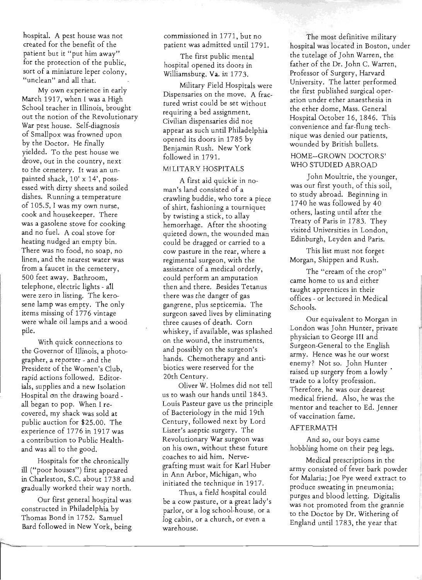hospital. A pest house was not created for the benefit of the patient but it "put him away" for the protection of the public, sort of a miniature leper colony, "unclean" and all that.

My own experience in early March 1917, when I was a High School teacher in Illinois, brought out the notion of the Revolutionary War pest house. Self-diagnosis of Smallpox was frowned upon by the Doctor. He finally yielded. To the pest house we drove, out in the country, next to the cemetery. It was an unpainted shack, 10' x 14', possessed with dirty sheets and soiled dishes. Running a temperature of 105.5, I was my own nurse, cook and housekeeper. There was a gasolene stove for cooking and no fuel. A coal stove for heating nudged an empty bin. There was no food, no soap, no linen, and the nearest water was from a faucet in the cemetery, 500 feet away. Bathroom, telephone, electric lights - all were zero in listing. The kerosene lamp was empty. The only items missing of 1776 vintage were whale oil lamps and a wood pile.

With quick connections to the Governor of Illinois, a photographer, a reporter - and the President of the Women's Club, rapid actions followed. Editorials, supplies and a new Isolation Hospital On the drawing board all began to pop. When I recovered, my shack was sold at public auction for \$25.00. The experience of 1776 in 1917 was a contribution to Public Healthand was all to the good.

Hospitals for the chronically ill ("poor houses") first appeared in Charleston, S.c. about 1738 and gradually worked their way north.

Our first general hospital was constructed in Philadelphia by Thomas Bond in 1752. Samuel Bard followed in New York, being commissioned in 1771, but no patient was admitted until 1791.

The first public mental hospital opened its doors in Williamsburg. Va. in 1773.

Military Field Hospitals were Dispensaries on the move. A fractured wrist could be set without requiring a bed assignment. Civilian dispensaries did not appear as such until Philadelphia opened its doors in 1785 by Benjamin Rush. New York followed in 1791.

# MILITARY HOSPITALS

A first aid quickie in noman's land consisted of a crawling buddie, who tore a piece of shirt, fashioning a tourniquet by twisting a stick, to allay hemorrhage. After the shooting quieted down, the wounded man could be dragged or carried to a cow pasture in the rear, where a regimental surgeon, with the assistance of a medical orderly, could perform an amputation then and there. Besides Tetanus there was the danger of gas gangrene, plus septicemia. The surgeon saved lives by eliminating three causes of death. Corn whiskey, if available, was splashed on the wound, the instruments, and possibly on the surgeon's hands. Chemotherapy and antibiotics were reserved for the 20th Centurv.

Oliver W. Holmes did not tell us to wash our hands until 1843. Louis Pasteur gave us the principle of Bacteriology in the mid 19th Century, followed next by Lord Lister's aseptic surgery. The Revolutionary War surgeon was on his own, without these future coaches to aid him. Nervegrafting must wait for Karl Huber in Ann Arbor, Michigan, who initiated the technique in 1917.

Thus, a field hospital could be a cow pasture, or a great lady's parlor, or a log school-house, or a log cabin, or a church, or even a warehouse.

The most definitive military hospital was located in Boston, under the tutelage of John Warren, the father of the Dr. John c. Warren, Professor of Surgery, Harvard University. The latter performed the first published surgical operation under ether anaesthesia in the ether dome, Mass. General Hospital October 16, 1846. This convenience and far-flung technique was denied our patients, wounded by British bullets.

# HOME-GROWN DOCTORS' WHO STUDIED ABROAD

John Moultrie, the younger, was our first youth, of this soil, to study abroad. Beginning in 1740 he was followed by 40 others, lasting until after the Treaty of Paris in 1783. They visited Universities in London, Edinburgh, Leyden and Paris.

This list must not forget Morgan, Shippen and Rush.

The "cream of the crop" came home to us and either taught apprentices in their offices - or lectured in Medical Schools.

Our equivalent to Morgan in London was John Hunter, private physician to George III and Surgeon-General to the English army. Hence was he our worst enemy? Not so. John Hunter raised up surgery from a lowly' trade to a lofty profession. Therefore, he was our dearest medical friend. Also, he was the mentor and teacher to Ed. Jenner of vaccination fame.

#### AFTERMATH

And so, our boys came hobbling home on their peg legs.

Medical prescriptions in the army consisted of fever bark powder for Malaria; Joe Pye weed extract to produce sweating in pneumonia; purges and blood letting. Digitalis was not promoted from the grannie to the Doctor by Dr. Withering of England until 1783, the year that